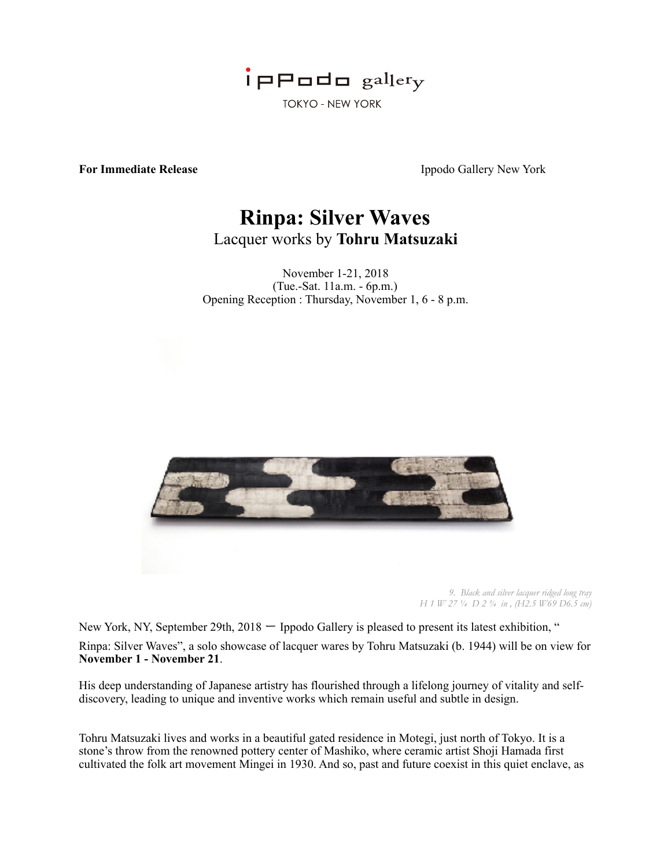

**For Immediate Release** Ippodo Gallery New York

## **Rinpa: Silver Waves**  Lacquer works by **Tohru Matsuzaki**

November 1-21, 2018 (Tue.-Sat. 11a.m. - 6p.m.) Opening Reception : Thursday, November 1, 6 - 8 p.m.





*9. Black and silver lacquer ridged long tray H 1 W 27 ¼ D 2 ¾ in , (H2.5 W69 D6.5 cm)* 

New York, NY, September 29th, 2018 – Ippodo Gallery is pleased to present its latest exhibition, " Rinpa: Silver Waves", a solo showcase of lacquer wares by Tohru Matsuzaki (b. 1944) will be on view for **November 1 - November 21**.

His deep understanding of Japanese artistry has flourished through a lifelong journey of vitality and selfdiscovery, leading to unique and inventive works which remain useful and subtle in design.

Tohru Matsuzaki lives and works in a beautiful gated residence in Motegi, just north of Tokyo. It is a stone's throw from the renowned pottery center of Mashiko, where ceramic artist Shoji Hamada first cultivated the folk art movement Mingei in 1930. And so, past and future coexist in this quiet enclave, as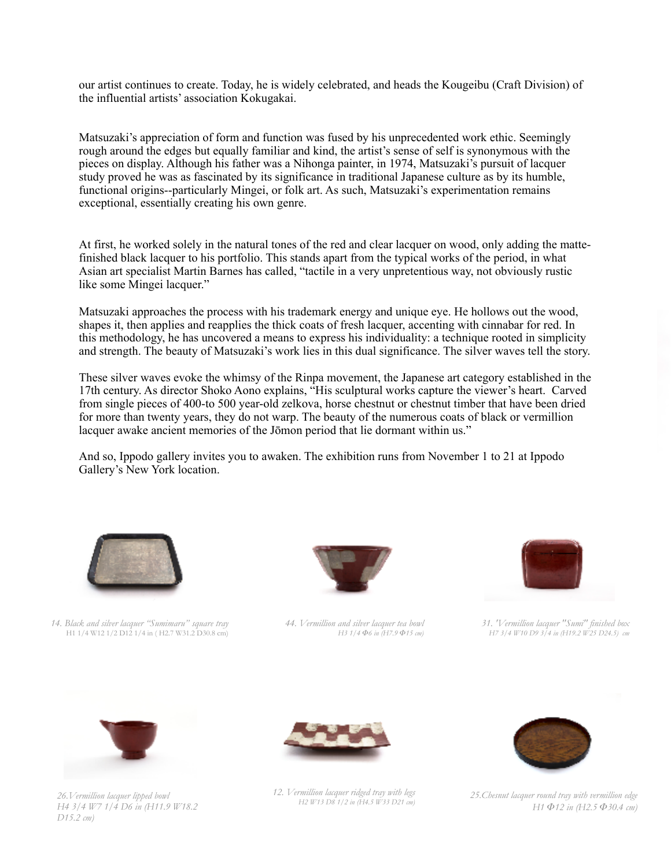our artist continues to create. Today, he is widely celebrated, and heads the Kougeibu (Craft Division) of the influential artists' association Kokugakai.

Matsuzaki's appreciation of form and function was fused by his unprecedented work ethic. Seemingly rough around the edges but equally familiar and kind, the artist's sense of self is synonymous with the pieces on display. Although his father was a Nihonga painter, in 1974, Matsuzaki's pursuit of lacquer study proved he was as fascinated by its significance in traditional Japanese culture as by its humble, functional origins--particularly Mingei, or folk art. As such, Matsuzaki's experimentation remains exceptional, essentially creating his own genre.

At first, he worked solely in the natural tones of the red and clear lacquer on wood, only adding the mattefinished black lacquer to his portfolio. This stands apart from the typical works of the period, in what Asian art specialist Martin Barnes has called, "tactile in a very unpretentious way, not obviously rustic like some Mingei lacquer."

Matsuzaki approaches the process with his trademark energy and unique eye. He hollows out the wood, shapes it, then applies and reapplies the thick coats of fresh lacquer, accenting with cinnabar for red. In this methodology, he has uncovered a means to express his individuality: a technique rooted in simplicity and strength. The beauty of Matsuzaki's work lies in this dual significance. The silver waves tell the story.

These silver waves evoke the whimsy of the Rinpa movement, the Japanese art category established in the 17th century. As director Shoko Aono explains, "His sculptural works capture the viewer's heart. Carved from single pieces of 400-to 500 year-old zelkova, horse chestnut or chestnut timber that have been dried for more than twenty years, they do not warp. The beauty of the numerous coats of black or vermillion lacquer awake ancient memories of the Jōmon period that lie dormant within us."

And so, Ippodo gallery invites you to awaken. The exhibition runs from November 1 to 21 at Ippodo Gallery's New York location.



*14. Black and silver lacquer "Sumimaru" square tray*  H1 1/4 W12 1/2 D12 1/4 in ( H2.7 W31.2 D30.8 cm)



*44. Vermillion and silver lacquer tea bowl H3 1/4 Φ6 in (H7.9 Φ15 cm)*



*31. 'Vermillion lacquer "Sumi" finished box H7 3/4 W10 D9 3/4 in (H19.2 W25 D24.5) cm*



*26.Vermillion lacquer lipped bowl H4 3/4 W7 1/4 D6 in (H11.9 W18.2 D15.2 cm)*



*12. Vermillion lacquer ridged tray with legs H2 W13 D8 1/2 in (H4.5 W33 D21 cm)* 



*25.Chesnut lacquer round tray with vermillion edge H1 Φ12 in (H2.5 Φ30.4 cm)*